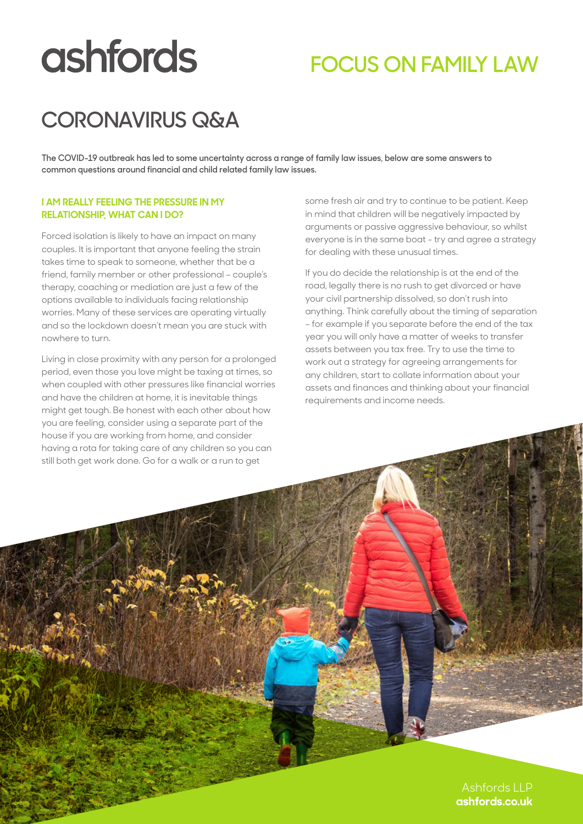# **ashfords**

## **FOCUS ON FAMILY LAW**

## **CORONAVIRUS Q&A**

**The COVID-19 outbreak has led to some uncertainty across a range of family law issues, below are some answers to common questions around financial and child related family law issues.** 

#### **I AM REALLY FEELING THE PRESSURE IN MY RELATIONSHIP, WHAT CAN I DO?**

Forced isolation is likely to have an impact on many couples. It is important that anyone feeling the strain takes time to speak to someone, whether that be a friend, family member or other professional – couple's therapy, coaching or mediation are just a few of the options available to individuals facing relationship worries. Many of these services are operating virtually and so the lockdown doesn't mean you are stuck with nowhere to turn.

Living in close proximity with any person for a prolonged period, even those you love might be taxing at times, so when coupled with other pressures like financial worries and have the children at home, it is inevitable things might get tough. Be honest with each other about how you are feeling, consider using a separate part of the house if you are working from home, and consider having a rota for taking care of any children so you can still both get work done. Go for a walk or a run to get

some fresh air and try to continue to be patient. Keep in mind that children will be negatively impacted by arguments or passive aggressive behaviour, so whilst everyone is in the same boat - try and agree a strategy for dealing with these unusual times.

If you do decide the relationship is at the end of the road, legally there is no rush to get divorced or have your civil partnership dissolved, so don't rush into anything. Think carefully about the timing of separation – for example if you separate before the end of the tax year you will only have a matter of weeks to transfer assets between you tax free. Try to use the time to work out a strategy for agreeing arrangements for any children, start to collate information about your assets and finances and thinking about your financial requirements and income needs.

> Ashfords LLP **ashfords.co.uk**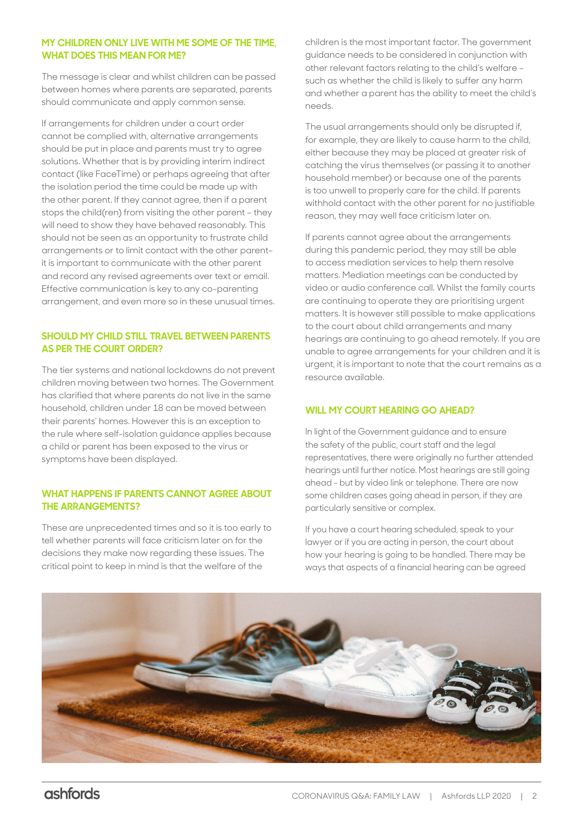#### **MY CHILDREN ONLY LIVE WITH ME SOME OF THE TIME, WHAT DOES THIS MEAN FOR ME?**

The message is clear and whilst children can be passed between homes where parents are separated, parents should communicate and apply common sense.

If arrangements for children under a court order cannot be complied with, alternative arrangements should be put in place and parents must try to agree solutions. Whether that is by providing interim indirect contact (like FaceTime) or perhaps agreeing that after the isolation period the time could be made up with the other parent. If they cannot agree, then if a parent stops the child(ren) from visiting the other parent – they will need to show they have behaved reasonably. This should not be seen as an opportunity to frustrate child arrangements or to limit contact with the other parent– it is important to communicate with the other parent and record any revised agreements over text or email. Effective communication is key to any co-parenting arrangement, and even more so in these unusual times.

#### **SHOULD MY CHILD STILL TRAVEL BETWEEN PARENTS AS PER THE COURT ORDER?**

The tier systems and national lockdowns do not prevent children moving between two homes. The Government has clarified that where parents do not live in the same household, children under 18 can be moved between their parents' homes. However this is an exception to the rule where self-isolation guidance applies because a child or parent has been exposed to the virus or symptoms have been displayed.

#### **WHAT HAPPENS IF PARENTS CANNOT AGREE ABOUT THE ARRANGEMENTS?**

These are unprecedented times and so it is too early to tell whether parents will face criticism later on for the decisions they make now regarding these issues. The critical point to keep in mind is that the welfare of the

children is the most important factor. The government guidance needs to be considered in conjunction with other relevant factors relating to the child's welfare – such as whether the child is likely to suffer any harm and whether a parent has the ability to meet the child's needs.

The usual arrangements should only be disrupted if, for example, they are likely to cause harm to the child, either because they may be placed at greater risk of catching the virus themselves (or passing it to another household member) or because one of the parents is too unwell to properly care for the child. If parents withhold contact with the other parent for no justifiable reason, they may well face criticism later on.

If parents cannot agree about the arrangements during this pandemic period, they may still be able to access mediation services to help them resolve matters. Mediation meetings can be conducted by video or audio conference call. Whilst the family courts are continuing to operate they are prioritising urgent matters. It is however still possible to make applications to the court about child arrangements and many hearings are continuing to go ahead remotely. If you are unable to agree arrangements for your children and it is urgent, it is important to note that the court remains as a resource available.

#### **WILL MY COURT HEARING GO AHEAD?**

In light of the Government guidance and to ensure the safety of the public, court staff and the legal representatives, there were originally no further attended hearings until further notice. Most hearings are still going ahead - but by video link or telephone. There are now some children cases going ahead in person, if they are particularly sensitive or complex.

If you have a court hearing scheduled, speak to your lawyer or if you are acting in person, the court about how your hearing is going to be handled. There may be ways that aspects of a financial hearing can be agreed

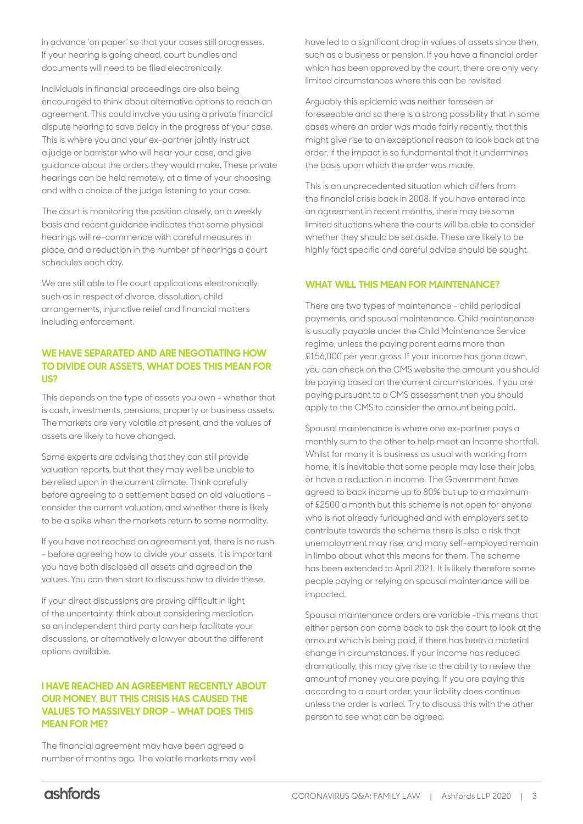in advance 'on paper' so that your cases still progresses. If your hearing is going ahead, court bundles and documents will need to be filed electronically.

Individuals in financial proceedings are also being encouraged to think about alternative options to reach an agreement. This could involve you using a private financial dispute hearing to save delay in the progress of your case. This is where you and your ex-partner jointly instruct a judge or barrister who will hear your case, and give guidance about the orders they would make. These private hearings can be held remotely, at a time of your choosing and with a choice of the judge listening to your case.

The court is monitoring the position closely, on a weekly basis and recent guidance indicates that some physical hearings will re-commence with careful measures in place, and a reduction in the number of hearings a court schedules each day.

We are still able to file court applications electronically such as in respect of divorce, dissolution, child arrangements, injunctive relief and financial matters including enforcement.

#### **WE HAVE SEPARATED AND ARE NEGOTIATING HOW TO DIVIDE OUR ASSETS, WHAT DOES THIS MEAN FOR US?**

This depends on the type of assets you own - whether that is cash, investments, pensions, property or business assets. The markets are very volatile at present, and the values of assets are likely to have changed.

Some experts are advising that they can still provide valuation reports, but that they may well be unable to be relied upon in the current climate. Think carefully before agreeing to a settlement based on old valuations – consider the current valuation, and whether there is likely to be a spike when the markets return to some normality.

If you have not reached an agreement yet, there is no rush – before agreeing how to divide your assets, it is important you have both disclosed all assets and agreed on the values. You can then start to discuss how to divide these.

If your direct discussions are proving difficult in light of the uncertainty, think about considering mediation so an independent third party can help facilitate your discussions, or alternatively a lawyer about the different options available.

#### **I HAVE REACHED AN AGREEMENT RECENTLY ABOUT OUR MONEY, BUT THIS CRISIS HAS CAUSED THE VALUES TO MASSIVELY DROP – WHAT DOES THIS MEAN FOR ME?**

The financial agreement may have been agreed a number of months ago. The volatile markets may well have led to a significant drop in values of assets since then, such as a business or pension. If you have a financial order which has been approved by the court, there are only very limited circumstances where this can be revisited.

Arguably this epidemic was neither foreseen or foreseeable and so there is a strong possibility that in some cases where an order was made fairly recently, that this might give rise to an exceptional reason to look back at the order, if the impact is so fundamental that it undermines the basis upon which the order was made.

This is an unprecedented situation which differs from the financial crisis back in 2008. If you have entered into an agreement in recent months, there may be some limited situations where the courts will be able to consider whether they should be set aside. These are likely to be highly fact specific and careful advice should be sought.

#### **WHAT WILL THIS MEAN FOR MAINTENANCE?**

There are two types of maintenance – child periodical payments, and spousal maintenance. Child maintenance is usually payable under the Child Maintenance Service regime, unless the paying parent earns more than £156,000 per year gross. If your income has gone down, you can check on the CMS website the amount you should be paying based on the current circumstances. If you are paying pursuant to a CMS assessment then you should apply to the CMS to consider the amount being paid.

Spousal maintenance is where one ex-partner pays a monthly sum to the other to help meet an income shortfall. Whilst for many it is business as usual with working from home, it is inevitable that some people may lose their jobs, or have a reduction in income. The Government have agreed to back income up to 80% but up to a maximum of £2500 a month but this scheme is not open for anyone who is not already furloughed and with employers set to contribute towards the scheme there is also a risk that unemployment may rise, and many self-employed remain in limbo about what this means for them. The scheme has been extended to April 2021. It is likely therefore some people paying or relying on spousal maintenance will be impacted.

Spousal maintenance orders are variable -this means that either person can come back to ask the court to look at the amount which is being paid, if there has been a material change in circumstances. If your income has reduced dramatically, this may give rise to the ability to review the amount of money you are paying. If you are paying this according to a court order, your liability does continue unless the order is varied. Try to discuss this with the other person to see what can be agreed.